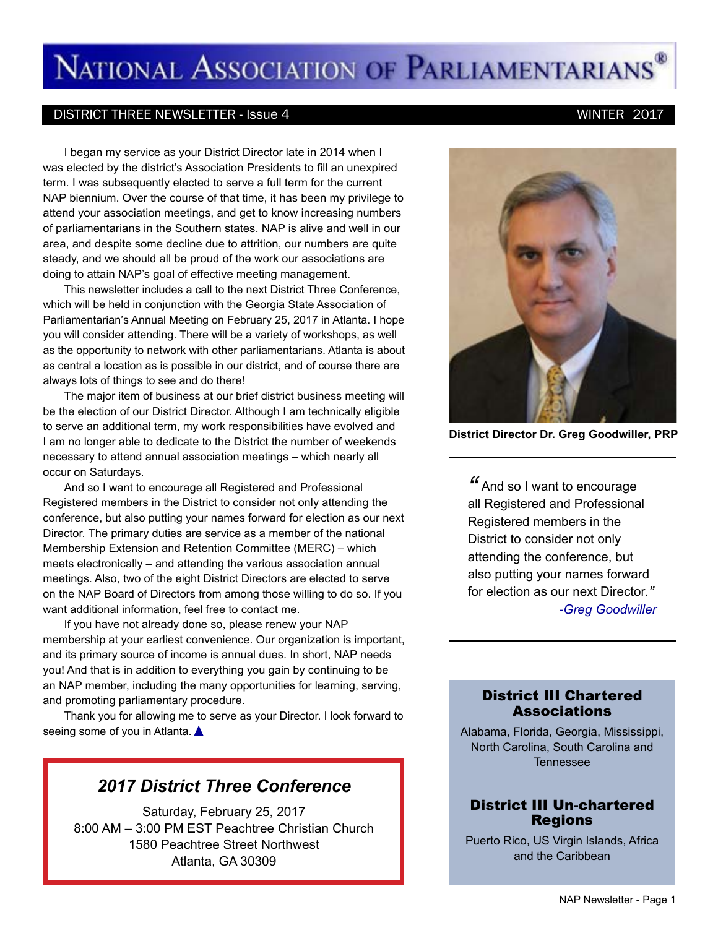# NATIONAL ASSOCIATION OF PARLIAMENTARIANS<sup>®</sup>

#### DISTRICT THREE NEWSLETTER - Issue 4 WINTER 2017

I began my service as your District Director late in 2014 when I was elected by the district's Association Presidents to fill an unexpired term. I was subsequently elected to serve a full term for the current NAP biennium. Over the course of that time, it has been my privilege to attend your association meetings, and get to know increasing numbers of parliamentarians in the Southern states. NAP is alive and well in our area, and despite some decline due to attrition, our numbers are quite steady, and we should all be proud of the work our associations are doing to attain NAP's goal of effective meeting management.

This newsletter includes a call to the next District Three Conference, which will be held in conjunction with the Georgia State Association of Parliamentarian's Annual Meeting on February 25, 2017 in Atlanta. I hope you will consider attending. There will be a variety of workshops, as well as the opportunity to network with other parliamentarians. Atlanta is about as central a location as is possible in our district, and of course there are always lots of things to see and do there!

The major item of business at our brief district business meeting will be the election of our District Director. Although I am technically eligible to serve an additional term, my work responsibilities have evolved and I am no longer able to dedicate to the District the number of weekends necessary to attend annual association meetings – which nearly all occur on Saturdays.

And so I want to encourage all Registered and Professional Registered members in the District to consider not only attending the conference, but also putting your names forward for election as our next Director. The primary duties are service as a member of the national Membership Extension and Retention Committee (MERC) – which meets electronically – and attending the various association annual meetings. Also, two of the eight District Directors are elected to serve on the NAP Board of Directors from among those willing to do so. If you want additional information, feel free to contact me.

If you have not already done so, please renew your NAP membership at your earliest convenience. Our organization is important, and its primary source of income is annual dues. In short, NAP needs you! And that is in addition to everything you gain by continuing to be an NAP member, including the many opportunities for learning, serving, and promoting parliamentary procedure.

Thank you for allowing me to serve as your Director. I look forward to seeing some of you in Atlanta.

### *2017 District Three Conference*

Saturday, February 25, 2017 8:00 AM – 3:00 PM EST Peachtree Christian Church 1580 Peachtree Street Northwest Atlanta, GA 30309



**District Director Dr. Greg Goodwiller, PRP**

*"* And so I want to encourage all Registered and Professional Registered members in the District to consider not only attending the conference, but also putting your names forward for election as our next Director. *" -Greg Goodwiller*

### District III Chartered **Associations**

Alabama, Florida, Georgia, Mississippi, North Carolina, South Carolina and Tennessee

### District III Un-chartered Regions

Puerto Rico, US Virgin Islands, Africa and the Caribbean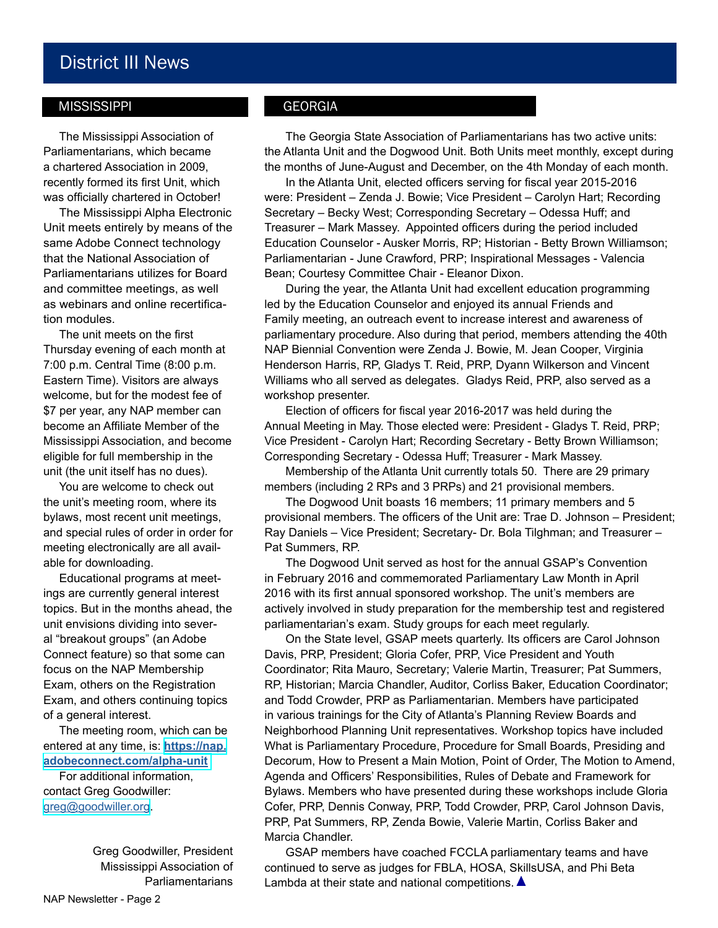# District III News

#### **MISSISSIPPI**

The Mississippi Association of Parliamentarians, which became a chartered Association in 2009, recently formed its first Unit, which was officially chartered in October!

The Mississippi Alpha Electronic Unit meets entirely by means of the same Adobe Connect technology that the National Association of Parliamentarians utilizes for Board and committee meetings, as well as webinars and online recertification modules.

The unit meets on the first Thursday evening of each month at 7:00 p.m. Central Time (8:00 p.m. Eastern Time). Visitors are always welcome, but for the modest fee of \$7 per year, any NAP member can become an Affiliate Member of the Mississippi Association, and become eligible for full membership in the unit (the unit itself has no dues).

You are welcome to check out the unit's meeting room, where its bylaws, most recent unit meetings, and special rules of order in order for meeting electronically are all available for downloading.

Educational programs at meetings are currently general interest topics. But in the months ahead, the unit envisions dividing into several "breakout groups" (an Adobe Connect feature) so that some can focus on the NAP Membership Exam, others on the Registration Exam, and others continuing topics of a general interest.

The meeting room, which can be entered at any time, is: **[https://nap.](https://nap.adobeconnect.com/alpha-unit) [adobeconnect.com/alpha-unit](https://nap.adobeconnect.com/alpha-unit)**

For additional information, contact Greg Goodwiller: [greg@goodwiller.org.](mailto:greg%40goodwiller.org?subject=from%20NAP%20news)

> Greg Goodwiller, President Mississippi Association of **Parliamentarians**

### **GEORGIA**

The Georgia State Association of Parliamentarians has two active units: the Atlanta Unit and the Dogwood Unit. Both Units meet monthly, except during the months of June-August and December, on the 4th Monday of each month.

In the Atlanta Unit, elected officers serving for fiscal year 2015-2016 were: President – Zenda J. Bowie; Vice President – Carolyn Hart; Recording Secretary – Becky West; Corresponding Secretary – Odessa Huff; and Treasurer – Mark Massey. Appointed officers during the period included Education Counselor - Ausker Morris, RP; Historian - Betty Brown Williamson; Parliamentarian - June Crawford, PRP; Inspirational Messages - Valencia Bean; Courtesy Committee Chair - Eleanor Dixon.

During the year, the Atlanta Unit had excellent education programming led by the Education Counselor and enjoyed its annual Friends and Family meeting, an outreach event to increase interest and awareness of parliamentary procedure. Also during that period, members attending the 40th NAP Biennial Convention were Zenda J. Bowie, M. Jean Cooper, Virginia Henderson Harris, RP, Gladys T. Reid, PRP, Dyann Wilkerson and Vincent Williams who all served as delegates. Gladys Reid, PRP, also served as a workshop presenter.

Election of officers for fiscal year 2016-2017 was held during the Annual Meeting in May. Those elected were: President - Gladys T. Reid, PRP; Vice President - Carolyn Hart; Recording Secretary - Betty Brown Williamson; Corresponding Secretary - Odessa Huff; Treasurer - Mark Massey.

Membership of the Atlanta Unit currently totals 50. There are 29 primary members (including 2 RPs and 3 PRPs) and 21 provisional members.

The Dogwood Unit boasts 16 members; 11 primary members and 5 provisional members. The officers of the Unit are: Trae D. Johnson – President; Ray Daniels – Vice President; Secretary- Dr. Bola Tilghman; and Treasurer – Pat Summers, RP.

The Dogwood Unit served as host for the annual GSAP's Convention in February 2016 and commemorated Parliamentary Law Month in April 2016 with its first annual sponsored workshop. The unit's members are actively involved in study preparation for the membership test and registered parliamentarian's exam. Study groups for each meet regularly.

On the State level, GSAP meets quarterly. Its officers are Carol Johnson Davis, PRP, President; Gloria Cofer, PRP, Vice President and Youth Coordinator; Rita Mauro, Secretary; Valerie Martin, Treasurer; Pat Summers, RP, Historian; Marcia Chandler, Auditor, Corliss Baker, Education Coordinator; and Todd Crowder, PRP as Parliamentarian. Members have participated in various trainings for the City of Atlanta's Planning Review Boards and Neighborhood Planning Unit representatives. Workshop topics have included What is Parliamentary Procedure, Procedure for Small Boards, Presiding and Decorum, How to Present a Main Motion, Point of Order, The Motion to Amend, Agenda and Officers' Responsibilities, Rules of Debate and Framework for Bylaws. Members who have presented during these workshops include Gloria Cofer, PRP, Dennis Conway, PRP, Todd Crowder, PRP, Carol Johnson Davis, PRP, Pat Summers, RP, Zenda Bowie, Valerie Martin, Corliss Baker and Marcia Chandler.

GSAP members have coached FCCLA parliamentary teams and have continued to serve as judges for FBLA, HOSA, SkillsUSA, and Phi Beta Lambda at their state and national competitions.  $\triangle$